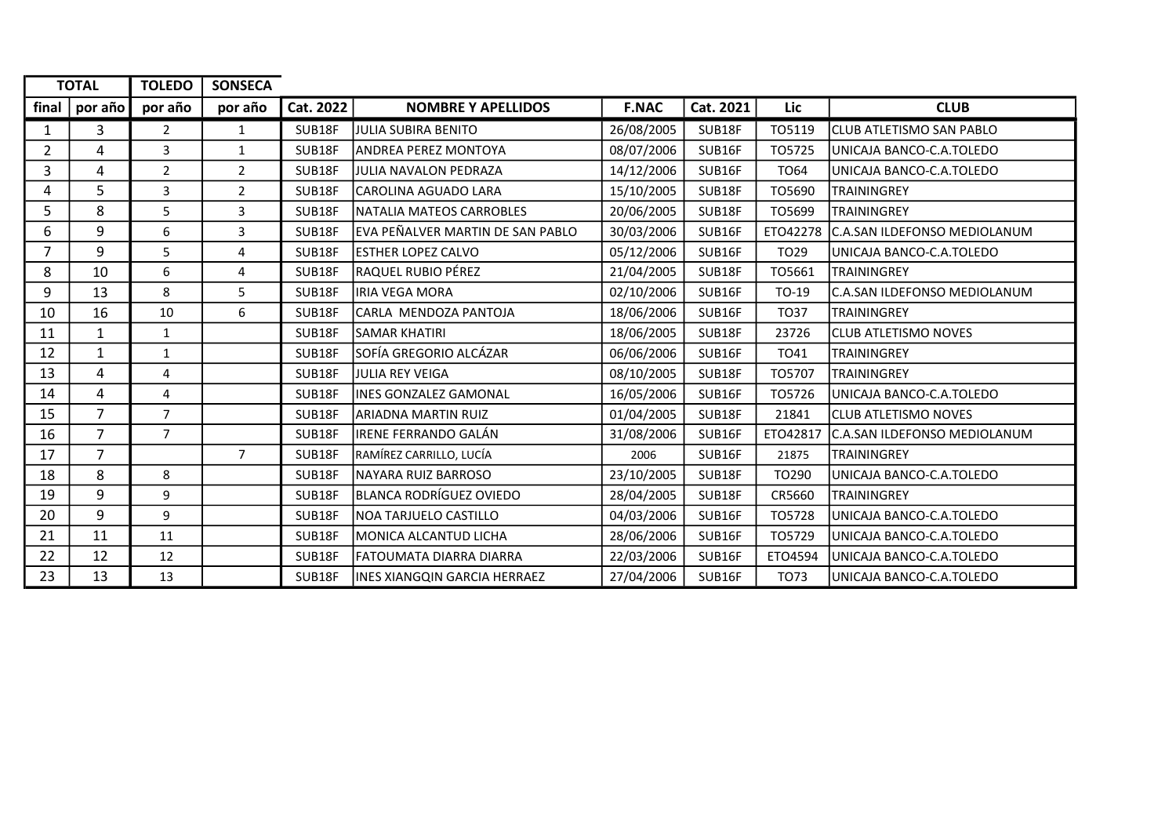| <b>TOTAL</b>   |                | <b>TOLEDO</b>  | <b>SONSECA</b> |           |                                  |              |           |                  |                                     |
|----------------|----------------|----------------|----------------|-----------|----------------------------------|--------------|-----------|------------------|-------------------------------------|
| final          | por año        | por año        | por año        | Cat. 2022 | <b>NOMBRE Y APELLIDOS</b>        | <b>F.NAC</b> | Cat. 2021 | Lic              | <b>CLUB</b>                         |
| 1              | 3              | $\overline{2}$ | $\mathbf{1}$   | SUB18F    | JULIA SUBIRA BENITO              | 26/08/2005   | SUB18F    | TO5119           | <b>CLUB ATLETISMO SAN PABLO</b>     |
| $\overline{2}$ | 4              | 3              | 1              | SUB18F    | landrea perez montoya            | 08/07/2006   | SUB16F    | T05725           | UNICAJA BANCO-C.A.TOLEDO            |
| 3              | 4              | $\overline{2}$ | $\overline{2}$ | SUB18F    | JULIA NAVALON PEDRAZA            | 14/12/2006   | SUB16F    | <b>TO64</b>      | UNICAJA BANCO-C.A.TOLEDO            |
| 4              | 5              | 3              | $\overline{2}$ | SUB18F    | CAROLINA AGUADO LARA             | 15/10/2005   | SUB18F    | TO5690           | <b>TRAININGREY</b>                  |
| 5              | 8              | 5              | 3              | SUB18F    | NATALIA MATEOS CARROBLES         | 20/06/2005   | SUB18F    | TO5699           | <b>TRAININGREY</b>                  |
| 6              | 9              | 6              | 3              | SUB18F    | EVA PEÑALVER MARTIN DE SAN PABLO | 30/03/2006   | SUB16F    | ETO42278         | <b>C.A.SAN ILDEFONSO MEDIOLANUM</b> |
| 7              | 9              | 5              | 4              | SUB18F    | <b>lesther LOPEZ CALVO</b>       | 05/12/2006   | SUB16F    | TO <sub>29</sub> | UNICAJA BANCO-C.A.TOLEDO            |
| 8              | 10             | 6              | 4              | SUB18F    | RAQUEL RUBIO PÉREZ               | 21/04/2005   | SUB18F    | TO5661           | <b>TRAININGREY</b>                  |
| 9              | 13             | 8              | 5              | SUB18F    | liria vega mora                  | 02/10/2006   | SUB16F    | TO-19            | C.A.SAN ILDEFONSO MEDIOLANUM        |
| 10             | 16             | 10             | 6              | SUB18F    | CARLA MENDOZA PANTOJA            | 18/06/2006   | SUB16F    | <b>TO37</b>      | <b>TRAININGREY</b>                  |
| 11             | $\mathbf{1}$   | $\mathbf{1}$   |                | SUB18F    | İSAMAR KHATIRI                   | 18/06/2005   | SUB18F    | 23726            | <b>CLUB ATLETISMO NOVES</b>         |
| 12             | $\mathbf{1}$   | $\mathbf{1}$   |                | SUB18F    | SOFÍA GREGORIO ALCÁZAR           | 06/06/2006   | SUB16F    | TO41             | TRAININGREY                         |
| 13             | 4              | 4              |                | SUB18F    | <b>JULIA REY VEIGA</b>           | 08/10/2005   | SUB18F    | T05707           | <b>TRAININGREY</b>                  |
| 14             | 4              | 4              |                | SUB18F    | lINES GONZALEZ GAMONAL           | 16/05/2006   | SUB16F    | T05726           | UNICAJA BANCO-C.A.TOLEDO            |
| 15             | $\overline{7}$ | $\overline{7}$ |                | SUB18F    | ARIADNA MARTIN RUIZ              | 01/04/2005   | SUB18F    | 21841            | <b>CLUB ATLETISMO NOVES</b>         |
| 16             | $\overline{7}$ | $\overline{7}$ |                | SUB18F    | lirene Ferrando Galán            | 31/08/2006   | SUB16F    | ETO42817         | lc.A.SAN ILDEFONSO MEDIOLANUM       |
| 17             | $\overline{7}$ |                | $\overline{7}$ | SUB18F    | RAMÍREZ CARRILLO, LUCÍA          | 2006         | SUB16F    | 21875            | TRAININGREY                         |
| 18             | 8              | 8              |                | SUB18F    | INAYARA RUIZ BARROSO             | 23/10/2005   | SUB18F    | TO290            | UNICAJA BANCO-C.A.TOLEDO            |
| 19             | 9              | 9              |                | SUB18F    | BLANCA RODRÍGUEZ OVIEDO          | 28/04/2005   | SUB18F    | CR5660           | <b>TRAININGREY</b>                  |
| 20             | 9              | 9              |                | SUB18F    | lnoa tarjuelo castillo           | 04/03/2006   | SUB16F    | TO5728           | UNICAJA BANCO-C.A.TOLEDO            |
| 21             | 11             | 11             |                | SUB18F    | IMONICA ALCANTUD LICHA           | 28/06/2006   | SUB16F    | TO5729           | UNICAJA BANCO-C.A.TOLEDO            |
| 22             | 12             | 12             |                | SUB18F    | lFATOUMATA DIARRA DIARRA         | 22/03/2006   | SUB16F    | ETO4594          | UNICAJA BANCO-C.A.TOLEDO            |
| 23             | 13             | 13             |                | SUB18F    | INES XIANGQIN GARCIA HERRAEZ     | 27/04/2006   | SUB16F    | TO73             | UNICAJA BANCO-C.A.TOLEDO            |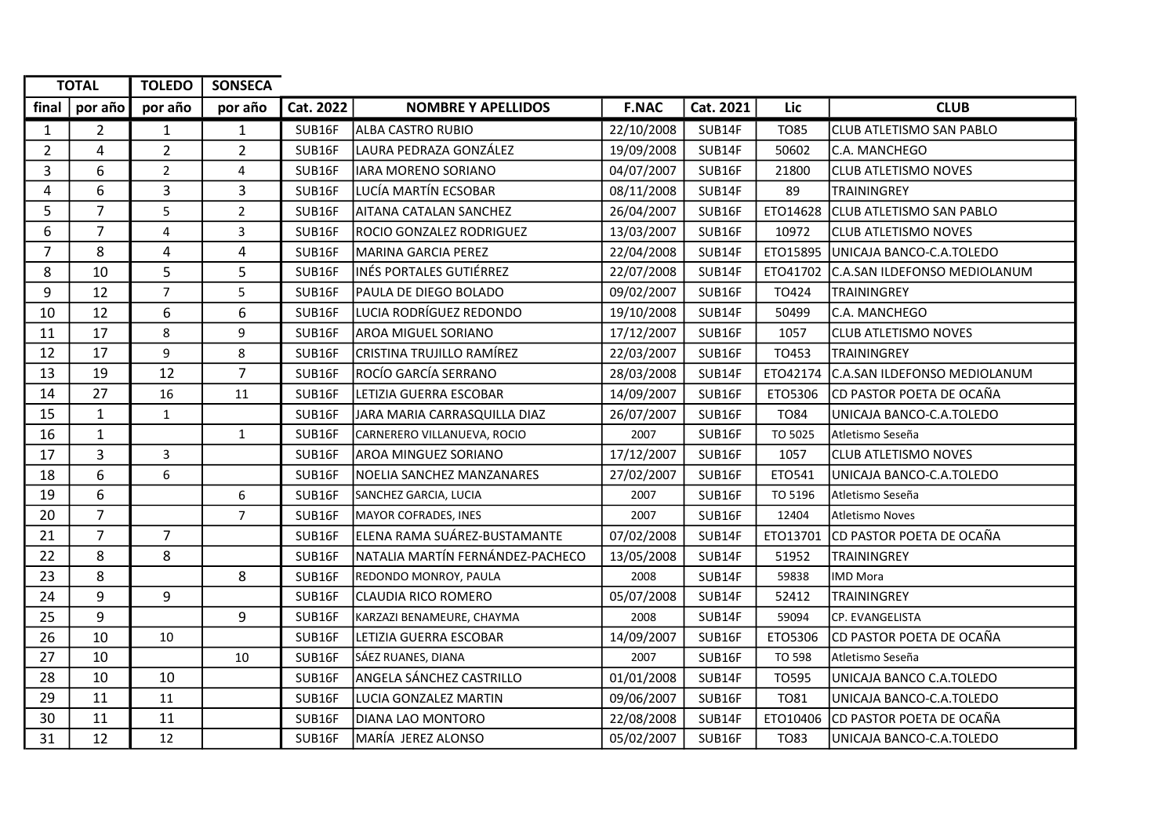|                | <b>TOTAL</b>   | <b>TOLEDO</b>           | <b>SONSECA</b> |           |                                  |              |           |             |                                 |
|----------------|----------------|-------------------------|----------------|-----------|----------------------------------|--------------|-----------|-------------|---------------------------------|
| final          | por año        | por año                 | por año        | Cat. 2022 | <b>NOMBRE Y APELLIDOS</b>        | <b>F.NAC</b> | Cat. 2021 | <b>Lic</b>  | <b>CLUB</b>                     |
| $\mathbf{1}$   | $\overline{2}$ | $\mathbf{1}$            | $\mathbf{1}$   | SUB16F    | ALBA CASTRO RUBIO                | 22/10/2008   | SUB14F    | <b>TO85</b> | CLUB ATLETISMO SAN PABLO        |
| $\overline{2}$ | 4              | $\overline{2}$          | $\overline{2}$ | SUB16F    | LAURA PEDRAZA GONZÁLEZ           | 19/09/2008   | SUB14F    | 50602       | C.A. MANCHEGO                   |
| 3              | 6              | $\overline{2}$          | 4              | SUB16F    | <b>IARA MORENO SORIANO</b>       | 04/07/2007   | SUB16F    | 21800       | <b>CLUB ATLETISMO NOVES</b>     |
| 4              | 6              | $\overline{3}$          | 3              | SUB16F    | LUCÍA MARTÍN ECSOBAR             | 08/11/2008   | SUB14F    | 89          | <b>TRAININGREY</b>              |
| 5              | $\overline{7}$ | 5                       | $\overline{2}$ | SUB16F    | AITANA CATALAN SANCHEZ           | 26/04/2007   | SUB16F    | ETO14628    | <b>CLUB ATLETISMO SAN PABLO</b> |
| 6              | $\overline{7}$ | $\overline{\mathbf{4}}$ | 3              | SUB16F    | <b>ROCIO GONZALEZ RODRIGUEZ</b>  | 13/03/2007   | SUB16F    | 10972       | <b>CLUB ATLETISMO NOVES</b>     |
| $\overline{7}$ | 8              | 4                       | 4              | SUB16F    | <b>MARINA GARCIA PEREZ</b>       | 22/04/2008   | SUB14F    | ETO15895    | UNICAJA BANCO-C.A.TOLEDO        |
| 8              | 10             | 5                       | 5              | SUB16F    | INÉS PORTALES GUTIÉRREZ          | 22/07/2008   | SUB14F    | ETO41702    | C.A.SAN ILDEFONSO MEDIOLANUM    |
| 9              | 12             | $\overline{7}$          | 5              | SUB16F    | PAULA DE DIEGO BOLADO            | 09/02/2007   | SUB16F    | TO424       | TRAININGREY                     |
| 10             | 12             | 6                       | 6              | SUB16F    | LUCIA RODRÍGUEZ REDONDO          | 19/10/2008   | SUB14F    | 50499       | C.A. MANCHEGO                   |
| 11             | 17             | 8                       | 9              | SUB16F    | <b>AROA MIGUEL SORIANO</b>       | 17/12/2007   | SUB16F    | 1057        | <b>CLUB ATLETISMO NOVES</b>     |
| 12             | 17             | 9                       | 8              | SUB16F    | CRISTINA TRUJILLO RAMÍREZ        | 22/03/2007   | SUB16F    | TO453       | <b>TRAININGREY</b>              |
| 13             | 19             | 12                      | $\overline{7}$ | SUB16F    | ROCÍO GARCÍA SERRANO             | 28/03/2008   | SUB14F    | ETO42174    | C.A.SAN ILDEFONSO MEDIOLANUM    |
| 14             | 27             | 16                      | 11             | SUB16F    | LETIZIA GUERRA ESCOBAR           | 14/09/2007   | SUB16F    | ETO5306     | CD PASTOR POETA DE OCAÑA        |
| 15             | $\mathbf{1}$   | $\mathbf{1}$            |                | SUB16F    | JARA MARIA CARRASQUILLA DIAZ     | 26/07/2007   | SUB16F    | <b>TO84</b> | UNICAJA BANCO-C.A.TOLEDO        |
| 16             | $\mathbf{1}$   |                         | $\mathbf{1}$   | SUB16F    | CARNERERO VILLANUEVA, ROCIO      | 2007         | SUB16F    | TO 5025     | Atletismo Seseña                |
| 17             | $\overline{3}$ | $\overline{3}$          |                | SUB16F    | <b>AROA MINGUEZ SORIANO</b>      | 17/12/2007   | SUB16F    | 1057        | <b>CLUB ATLETISMO NOVES</b>     |
| 18             | 6              | $\boldsymbol{6}$        |                | SUB16F    | NOELIA SANCHEZ MANZANARES        | 27/02/2007   | SUB16F    | ET0541      | UNICAJA BANCO-C.A.TOLEDO        |
| 19             | 6              |                         | 6              | SUB16F    | SANCHEZ GARCIA, LUCIA            | 2007         | SUB16F    | TO 5196     | Atletismo Seseña                |
| 20             | $\overline{7}$ |                         | $\overline{7}$ | SUB16F    | MAYOR COFRADES, INES             | 2007         | SUB16F    | 12404       | <b>Atletismo Noves</b>          |
| 21             | $\overline{7}$ | $\overline{7}$          |                | SUB16F    | ELENA RAMA SUÁREZ-BUSTAMANTE     | 07/02/2008   | SUB14F    | ETO13701    | <b>CD PASTOR POETA DE OCAÑA</b> |
| 22             | 8              | 8                       |                | SUB16F    | NATALIA MARTÍN FERNÁNDEZ-PACHECO | 13/05/2008   | SUB14F    | 51952       | TRAININGREY                     |
| 23             | 8              |                         | 8              | SUB16F    | REDONDO MONROY, PAULA            | 2008         | SUB14F    | 59838       | <b>IMD Mora</b>                 |
| 24             | 9              | 9                       |                | SUB16F    | <b>CLAUDIA RICO ROMERO</b>       | 05/07/2008   | SUB14F    | 52412       | <b>TRAININGREY</b>              |
| 25             | 9              |                         | 9              | SUB16F    | KARZAZI BENAMEURE, CHAYMA        | 2008         | SUB14F    | 59094       | CP. EVANGELISTA                 |
| 26             | 10             | 10                      |                | SUB16F    | LETIZIA GUERRA ESCOBAR           | 14/09/2007   | SUB16F    | ETO5306     | CD PASTOR POETA DE OCAÑA        |
| 27             | 10             |                         | 10             | SUB16F    | SÁEZ RUANES, DIANA               | 2007         | SUB16F    | TO 598      | Atletismo Seseña                |
| 28             | 10             | 10                      |                | SUB16F    | ANGELA SÁNCHEZ CASTRILLO         | 01/01/2008   | SUB14F    | TO595       | UNICAJA BANCO C.A.TOLEDO        |
| 29             | 11             | 11                      |                | SUB16F    | LUCIA GONZALEZ MARTIN            | 09/06/2007   | SUB16F    | <b>TO81</b> | UNICAJA BANCO-C.A.TOLEDO        |
| 30             | 11             | 11                      |                | SUB16F    | <b>DIANA LAO MONTORO</b>         | 22/08/2008   | SUB14F    | ETO10406    | CD PASTOR POETA DE OCAÑA        |
| 31             | 12             | 12                      |                | SUB16F    | MARÍA JEREZ ALONSO               | 05/02/2007   | SUB16F    | <b>TO83</b> | UNICAJA BANCO-C.A.TOLEDO        |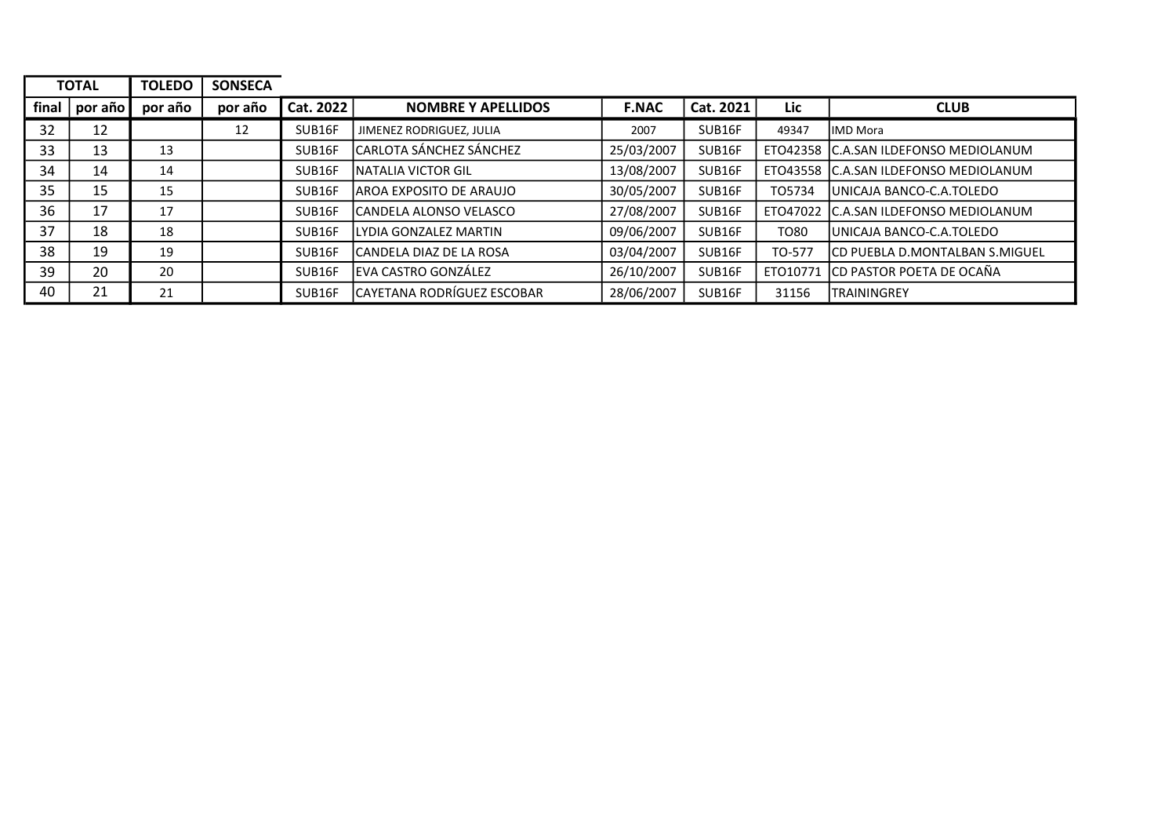|       | <b>TOTAL</b>            | <b>TOLEDO</b> | <b>SONSECA</b> |           |                            |              |           |          |                                       |
|-------|-------------------------|---------------|----------------|-----------|----------------------------|--------------|-----------|----------|---------------------------------------|
| final | $\vert$ por año $\vert$ | por año       | por año        | Cat. 2022 | <b>NOMBRE Y APELLIDOS</b>  | <b>F.NAC</b> | Cat. 2021 | Lic      | <b>CLUB</b>                           |
| 32    | 12                      |               | 12             | SUB16F    | JIMENEZ RODRIGUEZ, JULIA   | 2007         | SUB16F    | 49347    | <b>IMD Mora</b>                       |
| 33    | 13                      | 13            |                | SUB16F    | CARLOTA SÁNCHEZ SÁNCHEZ    | 25/03/2007   | SUB16F    |          | ETO42358 C.A.SAN ILDEFONSO MEDIOLANUM |
| 34    | 14                      | 14            |                | SUB16F    | INATALIA VICTOR GIL        | 13/08/2007   | SUB16F    |          | ETO43558 C.A.SAN ILDEFONSO MEDIOLANUM |
| 35    | 15                      | 15            |                | SUB16F    | IAROA EXPOSITO DE ARAUJO   | 30/05/2007   | SUB16F    | TO5734   | UNICAJA BANCO-C.A.TOLEDO              |
| 36    | 17                      | 17            |                | SUB16F    | lCANDELA ALONSO VELASCO    | 27/08/2007   | SUB16F    |          | ETO47022 C.A.SAN ILDEFONSO MEDIOLANUM |
| 37    | 18                      | 18            |                | SUB16F    | llYDIA GONZALEZ MARTIN     | 09/06/2007   | SUB16F    | TO80     | UNICAJA BANCO-C.A.TOLEDO              |
| 38    | 19                      | 19            |                | SUB16F    | lCANDELA DIAZ DE LA ROSA   | 03/04/2007   | SUB16F    | TO-577   | CD PUEBLA D.MONTALBAN S.MIGUEL        |
| 39    | 20                      | 20            |                | SUB16F    | EVA CASTRO GONZÁLEZ        | 26/10/2007   | SUB16F    | ETO10771 | CD PASTOR POETA DE OCAÑA              |
| 40    | 21                      | 21            |                | SUB16F    | CAYETANA RODRÍGUEZ ESCOBAR | 28/06/2007   | SUB16F    | 31156    | <b>TRAININGREY</b>                    |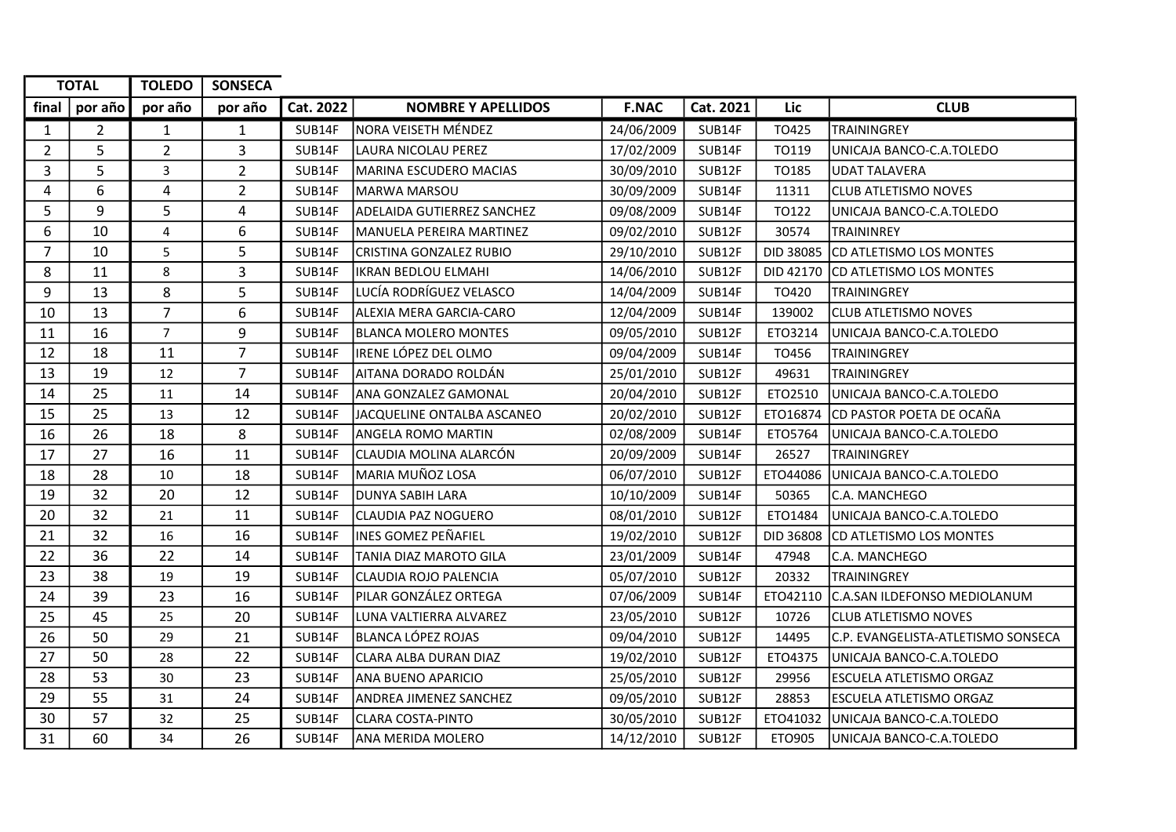|                | <b>TOTAL</b>   | <b>TOLEDO</b>  | <b>SONSECA</b> |           |                                   |              |           |            |                                    |
|----------------|----------------|----------------|----------------|-----------|-----------------------------------|--------------|-----------|------------|------------------------------------|
| final          | por año        | por año        | por año        | Cat. 2022 | <b>NOMBRE Y APELLIDOS</b>         | <b>F.NAC</b> | Cat. 2021 | <b>Lic</b> | <b>CLUB</b>                        |
| $\mathbf{1}$   | $\overline{2}$ | 1              | $\mathbf{1}$   | SUB14F    | NORA VEISETH MÉNDEZ               | 24/06/2009   | SUB14F    | TO425      | <b>TRAININGREY</b>                 |
| $\overline{2}$ | 5              | $\overline{2}$ | 3              | SUB14F    | LAURA NICOLAU PEREZ               | 17/02/2009   | SUB14F    | TO119      | UNICAJA BANCO-C.A.TOLEDO           |
| 3              | 5              | $\mathbf{3}$   | $\overline{2}$ | SUB14F    | <b>MARINA ESCUDERO MACIAS</b>     | 30/09/2010   | SUB12F    | TO185      | UDAT TALAVERA                      |
| 4              | 6              | $\overline{4}$ | $\overline{2}$ | SUB14F    | <b>MARWA MARSOU</b>               | 30/09/2009   | SUB14F    | 11311      | <b>CLUB ATLETISMO NOVES</b>        |
| 5              | 9              | 5              | 4              | SUB14F    | <b>ADELAIDA GUTIERREZ SANCHEZ</b> | 09/08/2009   | SUB14F    | TO122      | UNICAJA BANCO-C.A.TOLEDO           |
| 6              | 10             | $\overline{4}$ | 6              | SUB14F    | MANUELA PEREIRA MARTINEZ          | 09/02/2010   | SUB12F    | 30574      | <b>TRAININREY</b>                  |
| $\overline{7}$ | 10             | 5              | 5              | SUB14F    | CRISTINA GONZALEZ RUBIO           | 29/10/2010   | SUB12F    | DID 38085  | CD ATLETISMO LOS MONTES            |
| 8              | 11             | 8              | 3              | SUB14F    | <b>IKRAN BEDLOU ELMAHI</b>        | 14/06/2010   | SUB12F    | DID 42170  | CD ATLETISMO LOS MONTES            |
| 9              | 13             | 8              | 5              | SUB14F    | LUCÍA RODRÍGUEZ VELASCO           | 14/04/2009   | SUB14F    | TO420      | TRAININGREY                        |
| 10             | 13             | $\overline{7}$ | 6              | SUB14F    | ALEXIA MERA GARCIA-CARO           | 12/04/2009   | SUB14F    | 139002     | <b>CLUB ATLETISMO NOVES</b>        |
| 11             | 16             | $\overline{7}$ | 9              | SUB14F    | <b>BLANCA MOLERO MONTES</b>       | 09/05/2010   | SUB12F    | ETO3214    | UNICAJA BANCO-C.A.TOLEDO           |
| 12             | 18             | 11             | $\overline{7}$ | SUB14F    | IRENE LÓPEZ DEL OLMO              | 09/04/2009   | SUB14F    | TO456      | <b>TRAININGREY</b>                 |
| 13             | 19             | 12             | $\overline{7}$ | SUB14F    | AITANA DORADO ROLDÁN              | 25/01/2010   | SUB12F    | 49631      | <b>TRAININGREY</b>                 |
| 14             | 25             | 11             | 14             | SUB14F    | ANA GONZALEZ GAMONAL              | 20/04/2010   | SUB12F    | ETO2510    | UNICAJA BANCO-C.A.TOLEDO           |
| 15             | 25             | 13             | 12             | SUB14F    | JACQUELINE ONTALBA ASCANEO        | 20/02/2010   | SUB12F    | ETO16874   | CD PASTOR POETA DE OCAÑA           |
| 16             | 26             | 18             | 8              | SUB14F    | <b>ANGELA ROMO MARTIN</b>         | 02/08/2009   | SUB14F    | ETO5764    | UNICAJA BANCO-C.A.TOLEDO           |
| 17             | 27             | 16             | 11             | SUB14F    | CLAUDIA MOLINA ALARCÓN            | 20/09/2009   | SUB14F    | 26527      | <b>TRAININGREY</b>                 |
| 18             | 28             | 10             | 18             | SUB14F    | MARIA MUÑOZ LOSA                  | 06/07/2010   | SUB12F    | ETO44086   | UNICAJA BANCO-C.A.TOLEDO           |
| 19             | 32             | 20             | 12             | SUB14F    | <b>DUNYA SABIH LARA</b>           | 10/10/2009   | SUB14F    | 50365      | C.A. MANCHEGO                      |
| 20             | 32             | 21             | 11             | SUB14F    | CLAUDIA PAZ NOGUERO               | 08/01/2010   | SUB12F    | ETO1484    | UNICAJA BANCO-C.A.TOLEDO           |
| 21             | 32             | 16             | 16             | SUB14F    | INES GOMEZ PEÑAFIEL               | 19/02/2010   | SUB12F    | DID 36808  | CD ATLETISMO LOS MONTES            |
| 22             | 36             | 22             | 14             | SUB14F    | TANIA DIAZ MAROTO GILA            | 23/01/2009   | SUB14F    | 47948      | C.A. MANCHEGO                      |
| 23             | 38             | 19             | 19             | SUB14F    | <b>CLAUDIA ROJO PALENCIA</b>      | 05/07/2010   | SUB12F    | 20332      | <b>TRAININGREY</b>                 |
| 24             | 39             | 23             | 16             | SUB14F    | PILAR GONZÁLEZ ORTEGA             | 07/06/2009   | SUB14F    | ETO42110   | C.A.SAN ILDEFONSO MEDIOLANUM       |
| 25             | 45             | 25             | 20             | SUB14F    | LUNA VALTIERRA ALVAREZ            | 23/05/2010   | SUB12F    | 10726      | <b>CLUB ATLETISMO NOVES</b>        |
| 26             | 50             | 29             | 21             | SUB14F    | <b>BLANCA LÓPEZ ROJAS</b>         | 09/04/2010   | SUB12F    | 14495      | C.P. EVANGELISTA-ATLETISMO SONSECA |
| 27             | 50             | 28             | 22             | SUB14F    | <b>CLARA ALBA DURAN DIAZ</b>      | 19/02/2010   | SUB12F    | ETO4375    | UNICAJA BANCO-C.A.TOLEDO           |
| 28             | 53             | 30             | 23             | SUB14F    | ANA BUENO APARICIO                | 25/05/2010   | SUB12F    | 29956      | <b>ESCUELA ATLETISMO ORGAZ</b>     |
| 29             | 55             | 31             | 24             | SUB14F    | <b>ANDREA JIMENEZ SANCHEZ</b>     | 09/05/2010   | SUB12F    | 28853      | ESCUELA ATLETISMO ORGAZ            |
| 30             | 57             | 32             | 25             | SUB14F    | <b>CLARA COSTA-PINTO</b>          | 30/05/2010   | SUB12F    | ETO41032   | UNICAJA BANCO-C.A.TOLEDO           |
| 31             | 60             | 34             | 26             | SUB14F    | <b>ANA MERIDA MOLERO</b>          | 14/12/2010   | SUB12F    | ETO905     | UNICAJA BANCO-C.A.TOLEDO           |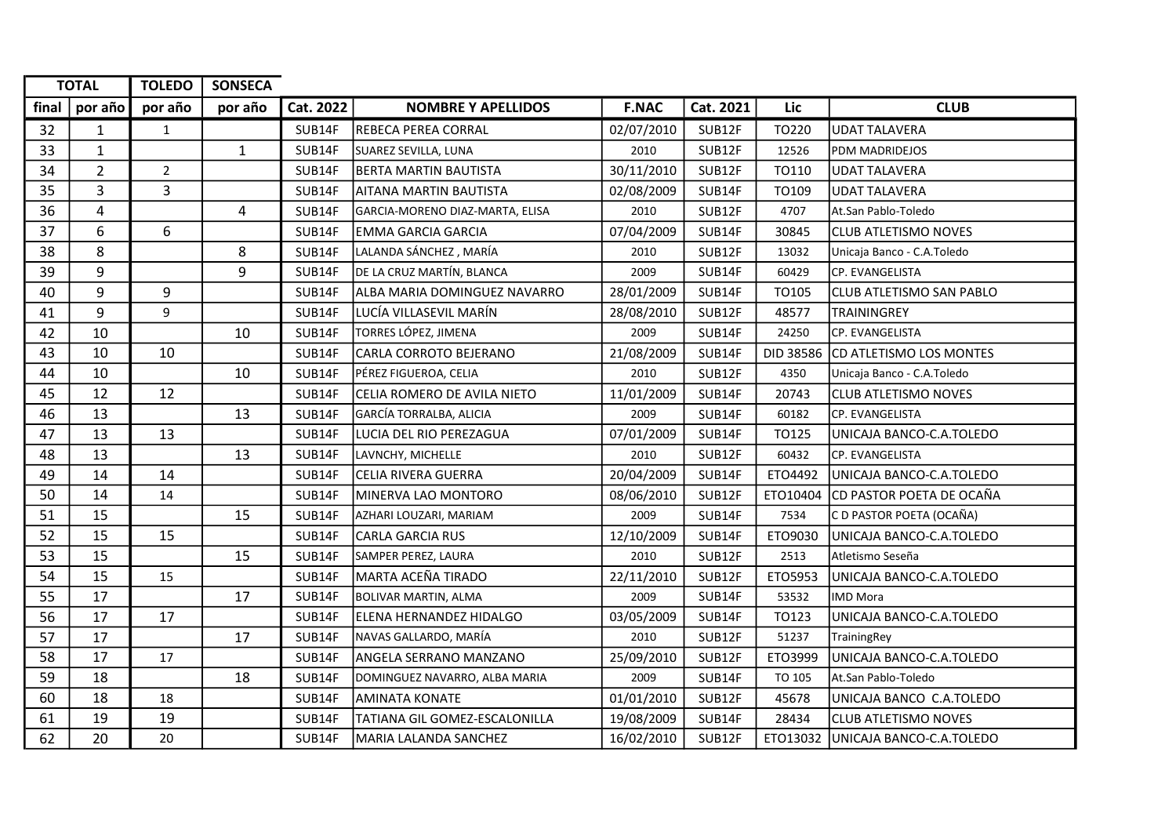| <b>TOTAL</b> |                | <b>TOLEDO</b>  | <b>SONSECA</b> |           |                                 |              |           |           |                                   |
|--------------|----------------|----------------|----------------|-----------|---------------------------------|--------------|-----------|-----------|-----------------------------------|
| final $ $    | por año        | por año        | por año        | Cat. 2022 | <b>NOMBRE Y APELLIDOS</b>       | <b>F.NAC</b> | Cat. 2021 | Lic       | <b>CLUB</b>                       |
| 32           | $\mathbf{1}$   | $\mathbf{1}$   |                | SUB14F    | REBECA PEREA CORRAL             | 02/07/2010   | SUB12F    | TO220     | <b>UDAT TALAVERA</b>              |
| 33           | $\mathbf 1$    |                | $\mathbf{1}$   | SUB14F    | SUAREZ SEVILLA, LUNA            | 2010         | SUB12F    | 12526     | PDM MADRIDEJOS                    |
| 34           | $\overline{2}$ | $\overline{2}$ |                | SUB14F    | <b>BERTA MARTIN BAUTISTA</b>    | 30/11/2010   | SUB12F    | TO110     | UDAT TALAVERA                     |
| 35           | 3              | $\overline{3}$ |                | SUB14F    | AITANA MARTIN BAUTISTA          | 02/08/2009   | SUB14F    | TO109     | <b>UDAT TALAVERA</b>              |
| 36           | 4              |                | 4              | SUB14F    | GARCIA-MORENO DIAZ-MARTA, ELISA | 2010         | SUB12F    | 4707      | At.San Pablo-Toledo               |
| 37           | 6              | 6              |                | SUB14F    | <b>EMMA GARCIA GARCIA</b>       | 07/04/2009   | SUB14F    | 30845     | <b>CLUB ATLETISMO NOVES</b>       |
| 38           | 8              |                | 8              | SUB14F    | LALANDA SÁNCHEZ , MARÍA         | 2010         | SUB12F    | 13032     | Unicaja Banco - C.A.Toledo        |
| 39           | 9              |                | 9              | SUB14F    | DE LA CRUZ MARTÍN, BLANCA       | 2009         | SUB14F    | 60429     | CP. EVANGELISTA                   |
| 40           | 9              | 9              |                | SUB14F    | ALBA MARIA DOMINGUEZ NAVARRO    | 28/01/2009   | SUB14F    | TO105     | <b>CLUB ATLETISMO SAN PABLO</b>   |
| 41           | 9              | 9              |                | SUB14F    | LUCÍA VILLASEVIL MARÍN          | 28/08/2010   | SUB12F    | 48577     | TRAININGREY                       |
| 42           | 10             |                | 10             | SUB14F    | TORRES LÓPEZ, JIMENA            | 2009         | SUB14F    | 24250     | CP. EVANGELISTA                   |
| 43           | 10             | 10             |                | SUB14F    | CARLA CORROTO BEJERANO          | 21/08/2009   | SUB14F    | DID 38586 | CD ATLETISMO LOS MONTES           |
| 44           | 10             |                | 10             | SUB14F    | PÉREZ FIGUEROA, CELIA           | 2010         | SUB12F    | 4350      | Unicaja Banco - C.A.Toledo        |
| 45           | 12             | 12             |                | SUB14F    | CELIA ROMERO DE AVILA NIETO     | 11/01/2009   | SUB14F    | 20743     | <b>CLUB ATLETISMO NOVES</b>       |
| 46           | 13             |                | 13             | SUB14F    | GARCÍA TORRALBA, ALICIA         | 2009         | SUB14F    | 60182     | CP. EVANGELISTA                   |
| 47           | 13             | 13             |                | SUB14F    | LUCIA DEL RIO PEREZAGUA         | 07/01/2009   | SUB14F    | TO125     | UNICAJA BANCO-C.A.TOLEDO          |
| 48           | 13             |                | 13             | SUB14F    | LAVNCHY, MICHELLE               | 2010         | SUB12F    | 60432     | CP. EVANGELISTA                   |
| 49           | 14             | 14             |                | SUB14F    | <b>CELIA RIVERA GUERRA</b>      | 20/04/2009   | SUB14F    | ETO4492   | UNICAJA BANCO-C.A.TOLEDO          |
| 50           | 14             | 14             |                | SUB14F    | MINERVA LAO MONTORO             | 08/06/2010   | SUB12F    | ETO10404  | CD PASTOR POETA DE OCAÑA          |
| 51           | 15             |                | 15             | SUB14F    | AZHARI LOUZARI, MARIAM          | 2009         | SUB14F    | 7534      | C D PASTOR POETA (OCAÑA)          |
| 52           | 15             | 15             |                | SUB14F    | <b>CARLA GARCIA RUS</b>         | 12/10/2009   | SUB14F    | ETO9030   | UNICAJA BANCO-C.A.TOLEDO          |
| 53           | 15             |                | 15             | SUB14F    | SAMPER PEREZ, LAURA             | 2010         | SUB12F    | 2513      | Atletismo Seseña                  |
| 54           | 15             | 15             |                | SUB14F    | MARTA ACEÑA TIRADO              | 22/11/2010   | SUB12F    | ETO5953   | UNICAJA BANCO-C.A.TOLEDO          |
| 55           | 17             |                | 17             | SUB14F    | <b>BOLIVAR MARTIN, ALMA</b>     | 2009         | SUB14F    | 53532     | <b>IMD Mora</b>                   |
| 56           | 17             | 17             |                | SUB14F    | ELENA HERNANDEZ HIDALGO         | 03/05/2009   | SUB14F    | TO123     | UNICAJA BANCO-C.A.TOLEDO          |
| 57           | 17             |                | 17             | SUB14F    | NAVAS GALLARDO, MARÍA           | 2010         | SUB12F    | 51237     | TrainingRey                       |
| 58           | 17             | 17             |                | SUB14F    | ANGELA SERRANO MANZANO          | 25/09/2010   | SUB12F    | ETO3999   | UNICAJA BANCO-C.A.TOLEDO          |
| 59           | 18             |                | 18             | SUB14F    | DOMINGUEZ NAVARRO, ALBA MARIA   | 2009         | SUB14F    | TO 105    | At.San Pablo-Toledo               |
| 60           | 18             | 18             |                | SUB14F    | <b>AMINATA KONATE</b>           | 01/01/2010   | SUB12F    | 45678     | UNICAJA BANCO C.A.TOLEDO          |
| 61           | 19             | 19             |                | SUB14F    | TATIANA GIL GOMEZ-ESCALONILLA   | 19/08/2009   | SUB14F    | 28434     | <b>CLUB ATLETISMO NOVES</b>       |
| 62           | 20             | 20             |                | SUB14F    | MARIA LALANDA SANCHEZ           | 16/02/2010   | SUB12F    |           | ETO13032 UNICAJA BANCO-C.A.TOLEDO |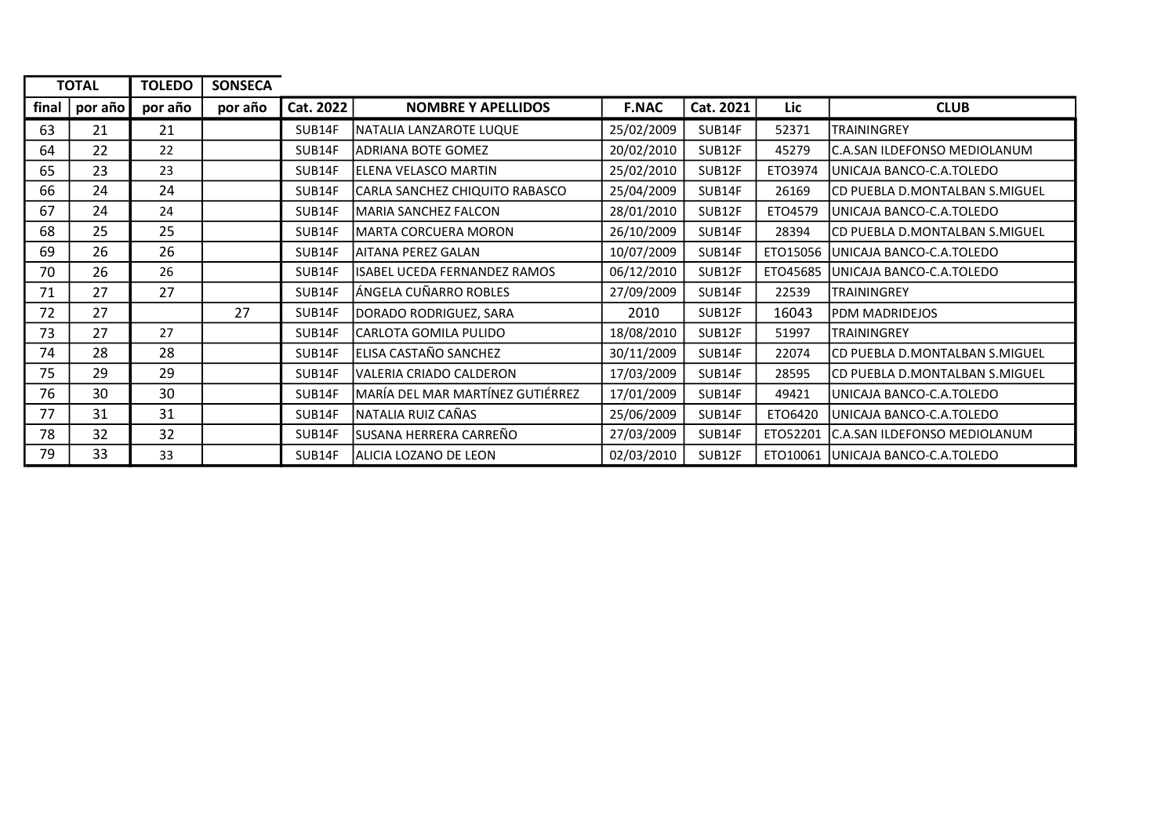|       | <b>TOTAL</b> | <b>TOLEDO</b> | <b>SONSECA</b> |           |                                  |              |           |          |                                     |
|-------|--------------|---------------|----------------|-----------|----------------------------------|--------------|-----------|----------|-------------------------------------|
| final | por año      | por año       | por año        | Cat. 2022 | <b>NOMBRE Y APELLIDOS</b>        | <b>F.NAC</b> | Cat. 2021 | Lic      | <b>CLUB</b>                         |
| 63    | 21           | 21            |                | SUB14F    | NATALIA LANZAROTE LUQUE          | 25/02/2009   | SUB14F    | 52371    | <b>TRAININGREY</b>                  |
| 64    | 22           | 22            |                | SUB14F    | IADRIANA BOTE GOMEZ              | 20/02/2010   | SUB12F    | 45279    | C.A.SAN ILDEFONSO MEDIOLANUM        |
| 65    | 23           | 23            |                | SUB14F    | ELENA VELASCO MARTIN             | 25/02/2010   | SUB12F    | ETO3974  | UNICAJA BANCO-C.A.TOLEDO            |
| 66    | 24           | 24            |                | SUB14F    | CARLA SANCHEZ CHIQUITO RABASCO   | 25/04/2009   | SUB14F    | 26169    | CD PUEBLA D.MONTALBAN S.MIGUEL      |
| 67    | 24           | 24            |                | SUB14F    | lMARIA SANCHEZ FALCON            | 28/01/2010   | SUB12F    | ETO4579  | UNICAJA BANCO-C.A.TOLEDO            |
| 68    | 25           | 25            |                | SUB14F    | MARTA CORCUERA MORON             | 26/10/2009   | SUB14F    | 28394    | CD PUEBLA D.MONTALBAN S.MIGUEL      |
| 69    | 26           | 26            |                | SUB14F    | AITANA PEREZ GALAN               | 10/07/2009   | SUB14F    |          | ETO15056 JUNICAJA BANCO-C.A.TOLEDO  |
| 70    | 26           | 26            |                | SUB14F    | ISABEL UCEDA FERNANDEZ RAMOS     | 06/12/2010   | SUB12F    | ETO45685 | UNICAJA BANCO-C.A.TOLEDO            |
| 71    | 27           | 27            |                | SUB14F    | ÁNGELA CUÑARRO ROBLES            | 27/09/2009   | SUB14F    | 22539    | <b>TRAININGREY</b>                  |
| 72    | 27           |               | 27             | SUB14F    | DORADO RODRIGUEZ, SARA           | 2010         | SUB12F    | 16043    | PDM MADRIDEJOS                      |
| 73    | 27           | 27            |                | SUB14F    | lCARLOTA GOMILA PULIDO           | 18/08/2010   | SUB12F    | 51997    | <b>TRAININGREY</b>                  |
| 74    | 28           | 28            |                | SUB14F    | ELISA CASTAÑO SANCHEZ            | 30/11/2009   | SUB14F    | 22074    | CD PUEBLA D.MONTALBAN S.MIGUEL      |
| 75    | 29           | 29            |                | SUB14F    | VALERIA CRIADO CALDERON          | 17/03/2009   | SUB14F    | 28595    | CD PUEBLA D.MONTALBAN S.MIGUEL      |
| 76    | 30           | 30            |                | SUB14F    | MARÍA DEL MAR MARTÍNEZ GUTIÉRREZ | 17/01/2009   | SUB14F    | 49421    | UNICAJA BANCO-C.A.TOLEDO            |
| 77    | 31           | 31            |                | SUB14F    | NATALIA RUIZ CAÑAS               | 25/06/2009   | SUB14F    | ETO6420  | UNICAJA BANCO-C.A.TOLEDO            |
| 78    | 32           | 32            |                | SUB14F    | SUSANA HERRERA CARREÑO           | 27/03/2009   | SUB14F    | ETO52201 | <b>C.A.SAN ILDEFONSO MEDIOLANUM</b> |
| 79    | 33           | 33            |                | SUB14F    | ALICIA LOZANO DE LEON            | 02/03/2010   | SUB12F    |          | ETO10061 UNICAJA BANCO-C.A.TOLEDO   |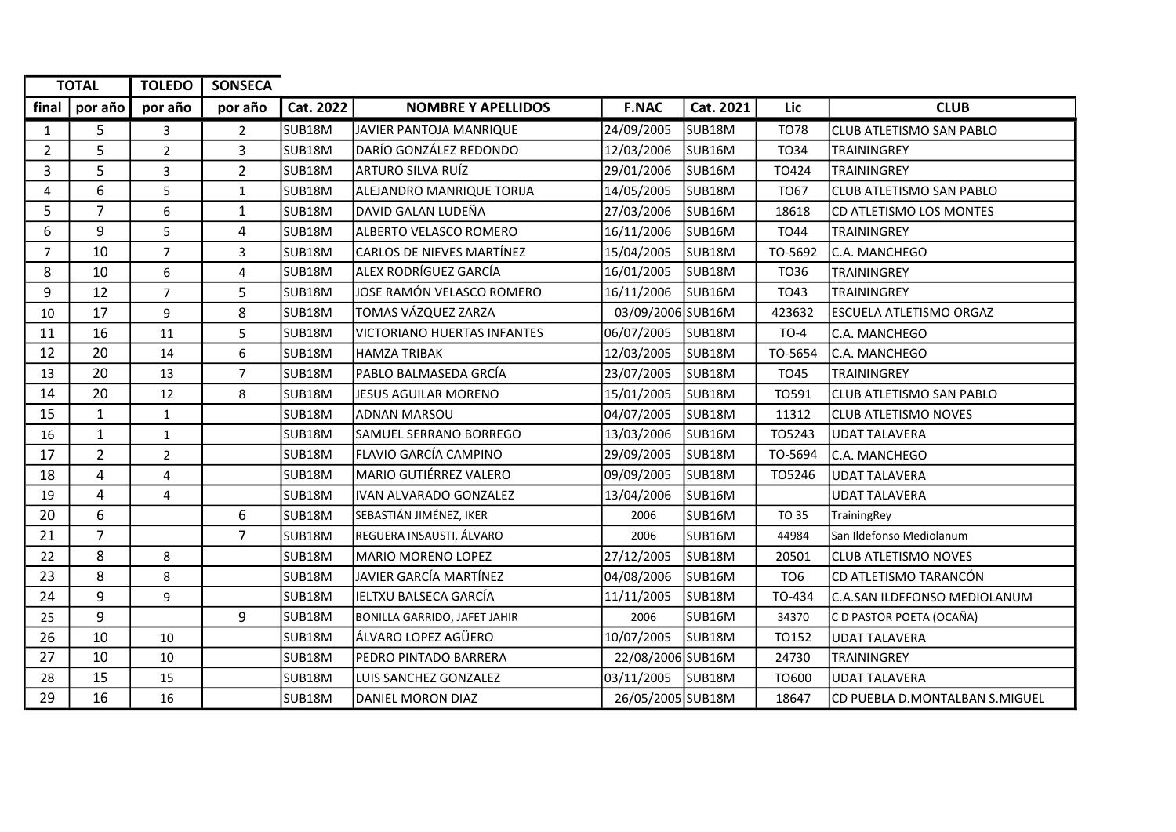| <b>TOTAL</b>   |                | <b>TOLEDO</b>  | <b>SONSECA</b> |                     |                                     |                   |                     |                 |                                 |
|----------------|----------------|----------------|----------------|---------------------|-------------------------------------|-------------------|---------------------|-----------------|---------------------------------|
| final          | por año        | por año        | por año        | Cat. 2022           | <b>NOMBRE Y APELLIDOS</b>           | <b>F.NAC</b>      | Cat. 2021           | Lic             | <b>CLUB</b>                     |
| 1              | 5              | 3              | $\overline{2}$ | SUB <sub>18M</sub>  | JAVIER PANTOJA MANRIQUE             | 24/09/2005        | SUB <sub>18M</sub>  | <b>TO78</b>     | <b>CLUB ATLETISMO SAN PABLO</b> |
| $\overline{2}$ | 5              | $\overline{2}$ | 3              | SUB <sub>18M</sub>  | DARÍO GONZÁLEZ REDONDO              | 12/03/2006        | SUB <sub>16M</sub>  | TO34            | <b>TRAININGREY</b>              |
| 3              | 5              | 3              | $\overline{2}$ | SUB <sub>18M</sub>  | ARTURO SILVA RUÍZ                   | 29/01/2006        | SUB <sub>16</sub> M | TO424           | <b>TRAININGREY</b>              |
| 4              | 6              | 5              | $\mathbf{1}$   | lsub18M             | ALEJANDRO MANRIQUE TORIJA           | 14/05/2005        | SUB18M              | TO67            | lCLUB ATLETISMO SAN PABLO       |
| 5              | $\overline{7}$ | 6              | $\mathbf{1}$   | SUB <sub>18M</sub>  | DAVID GALAN LUDEÑA                  | 27/03/2006        | SUB <sub>16M</sub>  | 18618           | <b>CD ATLETISMO LOS MONTES</b>  |
| 6              | 9              | 5              | 4              | SUB18M              | ALBERTO VELASCO ROMERO              | 16/11/2006        | SUB <sub>16M</sub>  | <b>TO44</b>     | TRAININGREY                     |
| $\overline{7}$ | 10             | $\overline{7}$ | 3              | SUB18M              | lCARLOS DE NIEVES MARTÍNEZ          | 15/04/2005        | SUB <sub>18M</sub>  | TO-5692         | C.A. MANCHEGO                   |
| 8              | 10             | 6              | 4              | SUB <sub>18M</sub>  | <b>ALEX RODRÍGUEZ GARCÍA</b>        | 16/01/2005        | SUB <sub>18</sub> M | TO36            | <b>TRAININGREY</b>              |
| 9              | 12             | $\overline{7}$ | 5              | SUB <sub>18M</sub>  | JOSE RAMÓN VELASCO ROMERO           | 16/11/2006        | SUB <sub>16</sub> M | TO43            | <b>TRAININGREY</b>              |
| 10             | 17             | 9              | 8              | SUB <sub>18M</sub>  | TOMAS VÁZQUEZ ZARZA                 | 03/09/2006 SUB16M |                     | 423632          | <b>ESCUELA ATLETISMO ORGAZ</b>  |
| 11             | 16             | 11             | 5              | SUB <sub>18</sub> M | VICTORIANO HUERTAS INFANTES         | 06/07/2005        | SUB <sub>18M</sub>  | $TO-4$          | C.A. MANCHEGO                   |
| 12             | 20             | 14             | 6              | SUB18M              | <b>HAMZA TRIBAK</b>                 | 12/03/2005        | SUB <sub>18M</sub>  | TO-5654         | C.A. MANCHEGO                   |
| 13             | 20             | 13             | $\overline{7}$ | SUB18M              | PABLO BALMASEDA GRCÍA               | 23/07/2005        | SUB <sub>18M</sub>  | <b>TO45</b>     | <b>TRAININGREY</b>              |
| 14             | 20             | 12             | 8              | SUB18M              | JESUS AGUILAR MORENO                | 15/01/2005        | SUB <sub>18M</sub>  | T0591           | <b>CLUB ATLETISMO SAN PABLO</b> |
| 15             | 1              | $\mathbf{1}$   |                | SUB <sub>18M</sub>  | <b>ADNAN MARSOU</b>                 | 04/07/2005        | SUB <sub>18M</sub>  | 11312           | <b>CLUB ATLETISMO NOVES</b>     |
| 16             | 1              | $\mathbf{1}$   |                | SUB <sub>18</sub> M | <b>SAMUEL SERRANO BORREGO</b>       | 13/03/2006        | SUB <sub>16</sub> M | T05243          | <b>UDAT TALAVERA</b>            |
| 17             | $\overline{2}$ | $\overline{2}$ |                | SUB18M              | FLAVIO GARCÍA CAMPINO               | 29/09/2005        | SUB <sub>18M</sub>  | TO-5694         | C.A. MANCHEGO                   |
| 18             | 4              | 4              |                | SUB18M              | MARIO GUTIÉRREZ VALERO              | 09/09/2005        | SUB <sub>18M</sub>  | TO5246          | UDAT TALAVERA                   |
| 19             | $\overline{4}$ | 4              |                | SUB18M              | IVAN ALVARADO GONZALEZ              | 13/04/2006        | SUB <sub>16M</sub>  |                 | <b>UDAT TALAVERA</b>            |
| 20             | 6              |                | 6              | SUB <sub>18</sub> M | SEBASTIÁN JIMÉNEZ, IKER             | 2006              | SUB16M              | <b>TO 35</b>    | TrainingRey                     |
| 21             | $\overline{7}$ |                | $\overline{7}$ | SUB18M              | REGUERA INSAUSTI, ÁLVARO            | 2006              | SUB16M              | 44984           | San Ildefonso Mediolanum        |
| 22             | 8              | 8              |                | SUB <sub>18M</sub>  | <b>IMARIO MORENO LOPEZ</b>          | 27/12/2005        | SUB18M              | 20501           | <b>CLUB ATLETISMO NOVES</b>     |
| 23             | 8              | 8              |                | SUB18M              | JAVIER GARCÍA MARTÍNEZ              | 04/08/2006        | SUB <sub>16M</sub>  | TO <sub>6</sub> | CD ATLETISMO TARANCÓN           |
| 24             | 9              | 9              |                | SUB18M              | IELTXU BALSECA GARCÍA               | 11/11/2005        | SUB <sub>18M</sub>  | TO-434          | C.A.SAN ILDEFONSO MEDIOLANUM    |
| 25             | 9              |                | 9              | SUB <sub>18M</sub>  | <b>BONILLA GARRIDO, JAFET JAHIR</b> | 2006              | SUB <sub>16M</sub>  | 34370           | C D PASTOR POETA (OCAÑA)        |
| 26             | 10             | 10             |                | SUB18M              | lálvaro lopez agüero                | 10/07/2005        | SUB <sub>18M</sub>  | TO152           | <b>UDAT TALAVERA</b>            |
| 27             | 10             | 10             |                | SUB <sub>18M</sub>  | <b>PEDRO PINTADO BARRERA</b>        | 22/08/2006 SUB16M |                     | 24730           | <b>TRAININGREY</b>              |
| 28             | 15             | 15             |                | SUB18M              | LUIS SANCHEZ GONZALEZ               | 03/11/2005        | SUB <sub>18</sub> M | T0600           | UDAT TALAVERA                   |
| 29             | 16             | 16             |                | SUB18M              | <b>IDANIEL MORON DIAZ</b>           | 26/05/2005 SUB18M |                     | 18647           | ICD PUEBLA D.MONTALBAN S.MIGUEL |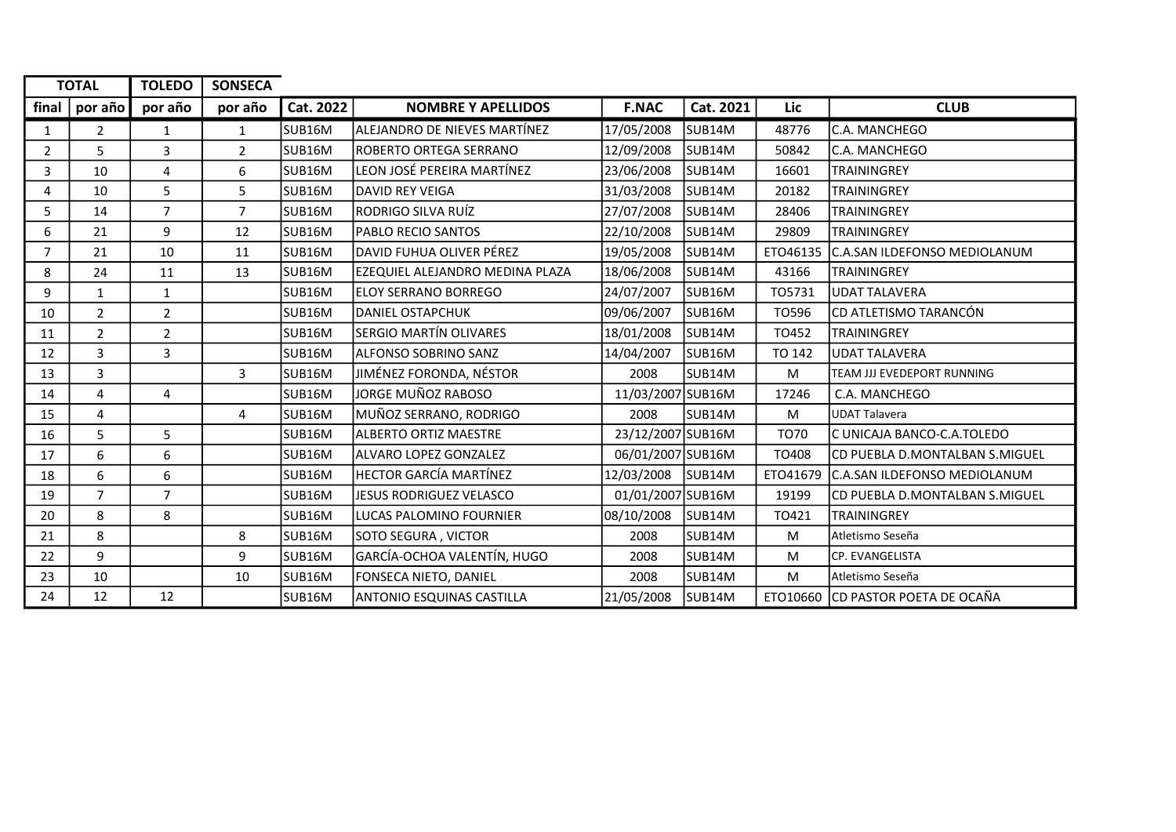|                | <b>TOTAL</b>   | <b>TOLEDO</b>  | <b>SONSECA</b> |           |                                  |                   |                     |             |                                       |
|----------------|----------------|----------------|----------------|-----------|----------------------------------|-------------------|---------------------|-------------|---------------------------------------|
| final          | por año        | por año        | por año        | Cat. 2022 | <b>NOMBRE Y APELLIDOS</b>        | <b>F.NAC</b>      | Cat. 2021           | Lic         | <b>CLUB</b>                           |
| 1              | 2              | $\mathbf{1}$   | 1              | SUB16M    | ALEJANDRO DE NIEVES MARTÍNEZ     | 17/05/2008        | SUB <sub>14M</sub>  | 48776       | C.A. MANCHEGO                         |
| $\overline{2}$ | 5              | 3              | $\overline{2}$ | SUB16M    | IROBERTO ORTEGA SERRANO          | 12/09/2008        | SUB <sub>14M</sub>  | 50842       | C.A. MANCHEGO                         |
| 3              | 10             | 4              | 6              | SUB16M    | LEON JOSÉ PEREIRA MARTÍNEZ       | 23/06/2008        | SUB <sub>14M</sub>  | 16601       | <b>TRAININGREY</b>                    |
| 4              | 10             | 5              | 5              | SUB16M    | DAVID REY VEIGA                  | 31/03/2008        | SUB <sub>14M</sub>  | 20182       | <b>TRAININGREY</b>                    |
| 5              | 14             | $\overline{7}$ | $\overline{7}$ | SUB16M    | RODRIGO SILVA RUÍZ               | 27/07/2008        | SUB <sub>14M</sub>  | 28406       | <b>TRAININGREY</b>                    |
| 6              | 21             | 9              | 12             | SUB16M    | <b>PABLO RECIO SANTOS</b>        | 22/10/2008        | SUB <sub>14M</sub>  | 29809       | <b>TRAININGREY</b>                    |
| $\overline{7}$ | 21             | 10             | 11             | SUB16M    | ldavid fuhua Oliver Pérez        | 19/05/2008        | SUB <sub>14M</sub>  | ETO46135    | C.A.SAN ILDEFONSO MEDIOLANUM          |
| 8              | 24             | 11             | 13             | SUB16M    | EZEQUIEL ALEJANDRO MEDINA PLAZA  | 18/06/2008        | SUB <sub>14M</sub>  | 43166       | <b>TRAININGREY</b>                    |
| 9              | $\mathbf{1}$   | $\mathbf{1}$   |                | SUB16M    | IELOY SERRANO BORREGO            | 24/07/2007        | SUB <sub>16M</sub>  | TO5731      | <b>UDAT TALAVERA</b>                  |
| 10             | $\overline{2}$ | $\overline{2}$ |                | SUB16M    | <b>DANIEL OSTAPCHUK</b>          | 09/06/2007        | SUB <sub>16M</sub>  | TO596       | CD ATLETISMO TARANCÓN                 |
| 11             | $\overline{2}$ | $\overline{2}$ |                | SUB16M    | <b>SERGIO MARTÍN OLIVARES</b>    | 18/01/2008        | SUB <sub>14M</sub>  | TO452       | <b>TRAININGREY</b>                    |
| 12             | 3              | $\mathbf{3}$   |                | SUB16M    | <b>ALFONSO SOBRINO SANZ</b>      | 14/04/2007        | SUB <sub>16M</sub>  | TO 142      | <b>UDAT TALAVERA</b>                  |
| 13             | 3              |                | $\overline{3}$ | SUB16M    | JIMÉNEZ FORONDA, NÉSTOR          | 2008              | SUB <sub>14</sub> M | M           | TEAM JJJ EVEDEPORT RUNNING            |
| 14             | 4              | 4              |                | SUB16M    | JORGE MUÑOZ RABOSO               | 11/03/2007 SUB16M |                     | 17246       | C.A. MANCHEGO                         |
| 15             | 4              |                | 4              | SUB16M    | MUÑOZ SERRANO, RODRIGO           | 2008              | SUB <sub>14M</sub>  | M           | <b>UDAT Talavera</b>                  |
| 16             | 5              | 5              |                | SUB16M    | <b>ALBERTO ORTIZ MAESTRE</b>     | 23/12/2007 SUB16M |                     | <b>TO70</b> | C UNICAJA BANCO-C.A.TOLEDO            |
| 17             | 6              | 6              |                | SUB16M    | lALVARO LOPEZ GONZALEZ           | 06/01/2007 SUB16M |                     | TO408       | CD PUEBLA D.MONTALBAN S.MIGUEL        |
| 18             | 6              | 6              |                | SUB16M    | <b>HECTOR GARCÍA MARTÍNEZ</b>    | 12/03/2008        | SUB <sub>14</sub> M |             | ETO41679 C.A.SAN ILDEFONSO MEDIOLANUM |
| 19             | $\overline{7}$ | $\overline{7}$ |                | SUB16M    | JESUS RODRIGUEZ VELASCO          | 01/01/2007 SUB16M |                     | 19199       | CD PUEBLA D.MONTALBAN S.MIGUEL        |
| 20             | 8              | 8              |                | SUB16M    | LUCAS PALOMINO FOURNIER          | 08/10/2008        | SUB <sub>14</sub> M | TO421       | <b>TRAININGREY</b>                    |
| 21             | 8              |                | 8              | SUB16M    | SOTO SEGURA, VICTOR              | 2008              | SUB <sub>14M</sub>  | M           | Atletismo Seseña                      |
| 22             | 9              |                | 9              | SUB16M    | GARCÍA-OCHOA VALENTÍN, HUGO      | 2008              | SUB <sub>14M</sub>  | M           | CP. EVANGELISTA                       |
| 23             | 10             |                | 10             | SUB16M    | FONSECA NIETO, DANIEL            | 2008              | SUB14M              | M           | Atletismo Seseña                      |
| 24             | 12             | 12             |                | SUB16M    | <b>ANTONIO ESQUINAS CASTILLA</b> | 21/05/2008        | SUB <sub>14M</sub>  |             | ETO10660 CD PASTOR POETA DE OCAÑA     |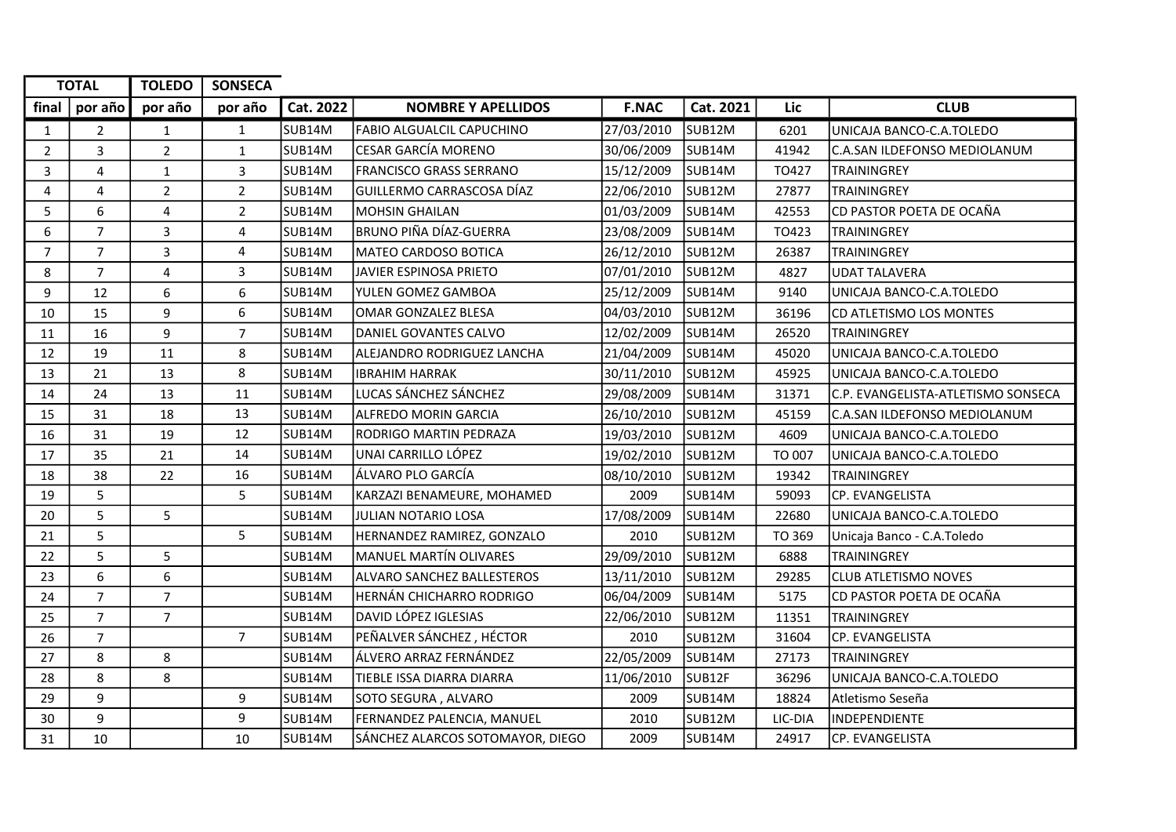|                | <b>TOTAL</b>   | <b>TOLEDO</b>  | <b>SONSECA</b> |           |                                   |              |                    |         |                                    |
|----------------|----------------|----------------|----------------|-----------|-----------------------------------|--------------|--------------------|---------|------------------------------------|
| final          | por año        | por año        | por año        | Cat. 2022 | <b>NOMBRE Y APELLIDOS</b>         | <b>F.NAC</b> | Cat. 2021          | Lic     | <b>CLUB</b>                        |
| $\mathbf{1}$   | $\overline{2}$ | $\mathbf{1}$   | $\mathbf{1}$   | SUB14M    | <b>FABIO ALGUALCIL CAPUCHINO</b>  | 27/03/2010   | SUB <sub>12M</sub> | 6201    | UNICAJA BANCO-C.A.TOLEDO           |
| $\overline{2}$ | 3              | $\overline{2}$ | $\mathbf 1$    | SUB14M    | <b>CESAR GARCÍA MORENO</b>        | 30/06/2009   | SUB14M             | 41942   | C.A.SAN ILDEFONSO MEDIOLANUM       |
| 3              | $\overline{4}$ | $\mathbf{1}$   | 3              | SUB14M    | <b>FRANCISCO GRASS SERRANO</b>    | 15/12/2009   | SUB14M             | TO427   | TRAININGREY                        |
| 4              | 4              | $\overline{2}$ | $\overline{2}$ | SUB14M    | GUILLERMO CARRASCOSA DÍAZ         | 22/06/2010   | SUB <sub>12M</sub> | 27877   | <b>TRAININGREY</b>                 |
| 5              | 6              | 4              | $\overline{2}$ | SUB14M    | <b>MOHSIN GHAILAN</b>             | 01/03/2009   | SUB14M             | 42553   | CD PASTOR POETA DE OCAÑA           |
| 6              | $\overline{7}$ | 3              | 4              | SUB14M    | BRUNO PIÑA DÍAZ-GUERRA            | 23/08/2009   | SUB <sub>14M</sub> | TO423   | <b>TRAININGREY</b>                 |
| $\overline{7}$ | $\overline{7}$ | 3              | 4              | SUB14M    | MATEO CARDOSO BOTICA              | 26/12/2010   | SUB12M             | 26387   | <b>TRAININGREY</b>                 |
| 8              | $\overline{7}$ | 4              | 3              | SUB14M    | JAVIER ESPINOSA PRIETO            | 07/01/2010   | SUB <sub>12M</sub> | 4827    | <b>UDAT TALAVERA</b>               |
| 9              | 12             | 6              | 6              | SUB14M    | YULEN GOMEZ GAMBOA                | 25/12/2009   | SUB <sub>14M</sub> | 9140    | UNICAJA BANCO-C.A.TOLEDO           |
| 10             | 15             | 9              | 6              | SUB14M    | OMAR GONZALEZ BLESA               | 04/03/2010   | SUB12M             | 36196   | CD ATLETISMO LOS MONTES            |
| 11             | 16             | 9              | $\overline{7}$ | SUB14M    | DANIEL GOVANTES CALVO             | 12/02/2009   | SUB <sub>14M</sub> | 26520   | <b>TRAININGREY</b>                 |
| 12             | 19             | 11             | 8              | SUB14M    | ALEJANDRO RODRIGUEZ LANCHA        | 21/04/2009   | SUB14M             | 45020   | UNICAJA BANCO-C.A.TOLEDO           |
| 13             | 21             | 13             | 8              | SUB14M    | <b>IBRAHIM HARRAK</b>             | 30/11/2010   | SUB12M             | 45925   | UNICAJA BANCO-C.A.TOLEDO           |
| 14             | 24             | 13             | 11             | SUB14M    | LUCAS SÁNCHEZ SÁNCHEZ             | 29/08/2009   | SUB <sub>14M</sub> | 31371   | C.P. EVANGELISTA-ATLETISMO SONSECA |
| 15             | 31             | 18             | 13             | SUB14M    | <b>ALFREDO MORIN GARCIA</b>       | 26/10/2010   | SUB <sub>12M</sub> | 45159   | C.A.SAN ILDEFONSO MEDIOLANUM       |
| 16             | 31             | 19             | 12             | SUB14M    | <b>RODRIGO MARTIN PEDRAZA</b>     | 19/03/2010   | SUB <sub>12M</sub> | 4609    | UNICAJA BANCO-C.A.TOLEDO           |
| 17             | 35             | 21             | 14             | SUB14M    | UNAI CARRILLO LÓPEZ               | 19/02/2010   | SUB <sub>12M</sub> | TO 007  | UNICAJA BANCO-C.A.TOLEDO           |
| 18             | 38             | 22             | 16             | SUB14M    | ÁLVARO PLO GARCÍA                 | 08/10/2010   | SUB12M             | 19342   | TRAININGREY                        |
| 19             | 5              |                | 5              | SUB14M    | KARZAZI BENAMEURE, MOHAMED        | 2009         | SUB <sub>14M</sub> | 59093   | CP. EVANGELISTA                    |
| 20             | 5              | 5              |                | SUB14M    | JULIAN NOTARIO LOSA               | 17/08/2009   | SUB <sub>14M</sub> | 22680   | UNICAJA BANCO-C.A.TOLEDO           |
| 21             | 5              |                | 5              | SUB14M    | HERNANDEZ RAMIREZ, GONZALO        | 2010         | SUB12M             | TO 369  | Unicaja Banco - C.A.Toledo         |
| 22             | 5              | 5              |                | SUB14M    | MANUEL MARTÍN OLIVARES            | 29/09/2010   | SUB12M             | 6888    | <b>TRAININGREY</b>                 |
| 23             | 6              | 6              |                | SUB14M    | <b>ALVARO SANCHEZ BALLESTEROS</b> | 13/11/2010   | SUB12M             | 29285   | <b>CLUB ATLETISMO NOVES</b>        |
| 24             | $\overline{7}$ | $\overline{7}$ |                | SUB14M    | HERNÁN CHICHARRO RODRIGO          | 06/04/2009   | SUB <sub>14M</sub> | 5175    | CD PASTOR POETA DE OCAÑA           |
| 25             | $\overline{7}$ | $\overline{7}$ |                | SUB14M    | <b>DAVID LÓPEZ IGLESIAS</b>       | 22/06/2010   | SUB12M             | 11351   | <b>TRAININGREY</b>                 |
| 26             | $\overline{7}$ |                | $\overline{7}$ | SUB14M    | PEÑALVER SÁNCHEZ, HÉCTOR          | 2010         | SUB12M             | 31604   | CP. EVANGELISTA                    |
| 27             | 8              | 8              |                | SUB14M    | ÁLVERO ARRAZ FERNÁNDEZ            | 22/05/2009   | SUB <sub>14M</sub> | 27173   | <b>TRAININGREY</b>                 |
| 28             | 8              | 8              |                | SUB14M    | TIEBLE ISSA DIARRA DIARRA         | 11/06/2010   | SUB12F             | 36296   | UNICAJA BANCO-C.A.TOLEDO           |
| 29             | 9              |                | 9              | SUB14M    | SOTO SEGURA, ALVARO               | 2009         | SUB14M             | 18824   | Atletismo Seseña                   |
| 30             | 9              |                | 9              | SUB14M    | FERNANDEZ PALENCIA, MANUEL        | 2010         | SUB <sub>12M</sub> | LIC-DIA | <b>INDEPENDIENTE</b>               |
| 31             | 10             |                | 10             | SUB14M    | SÁNCHEZ ALARCOS SOTOMAYOR, DIEGO  | 2009         | SUB14M             | 24917   | CP. EVANGELISTA                    |